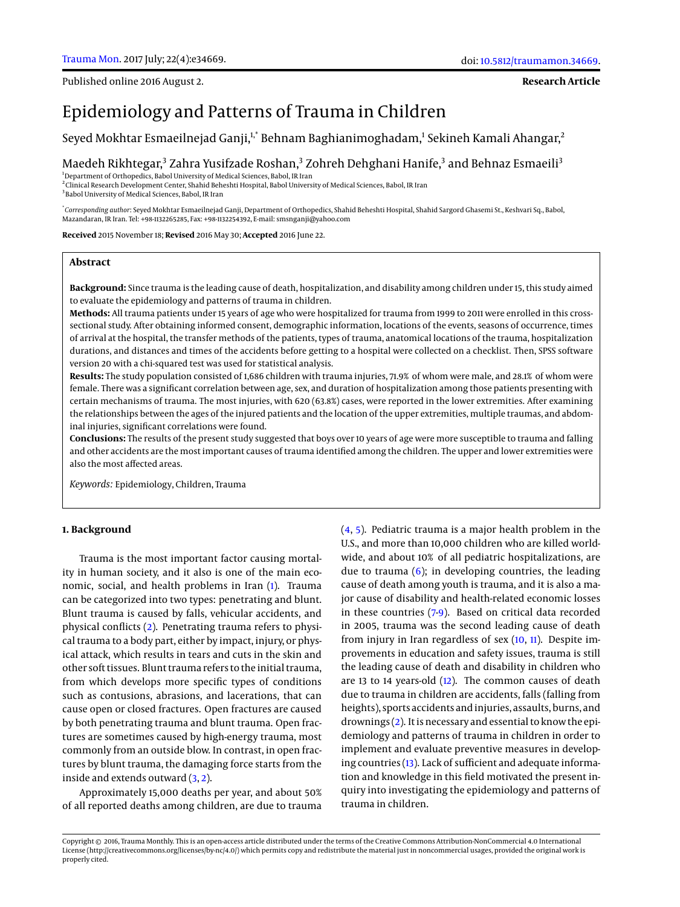Published online 2016 August 2.

#### **Research Article**

# Epidemiology and Patterns of Trauma in Children

Seyed Mokhtar Esmaeilnejad Ganji,<sup>1,\*</sup> Behnam Baghianimoghadam,<sup>1</sup> Sekineh Kamali Ahangar,<sup>2</sup>

Maedeh Rikhtegar,<sup>3</sup> Zahra Yusifzade Roshan,<sup>3</sup> Zohreh Dehghani Hanife,<sup>3</sup> and Behnaz Esmaeili<sup>3</sup>

<sup>1</sup>Department of Orthopedics, Babol University of Medical Sciences, Babol, IR Iran

2 Clinical Research Development Center, Shahid Beheshti Hospital, Babol University of Medical Sciences, Babol, IR Iran <sup>3</sup> Babol University of Medical Sciences, Babol, IR Iran

\* *Corresponding author*: Seyed Mokhtar Esmaeilnejad Ganji, Department of Orthopedics, Shahid Beheshti Hospital, Shahid Sargord Ghasemi St., Keshvari Sq., Babol, Mazandaran, IR Iran. Tel: +98-1132265285, Fax: +98-1132254392, E-mail: smsnganji@yahoo.com

**Received** 2015 November 18; **Revised** 2016 May 30; **Accepted** 2016 June 22.

### **Abstract**

**Background:** Since trauma is the leading cause of death, hospitalization, and disability among children under 15, this study aimed to evaluate the epidemiology and patterns of trauma in children.

**Methods:** All trauma patients under 15 years of age who were hospitalized for trauma from 1999 to 2011 were enrolled in this crosssectional study. After obtaining informed consent, demographic information, locations of the events, seasons of occurrence, times of arrival at the hospital, the transfer methods of the patients, types of trauma, anatomical locations of the trauma, hospitalization durations, and distances and times of the accidents before getting to a hospital were collected on a checklist. Then, SPSS software version 20 with a chi-squared test was used for statistical analysis.

**Results:** The study population consisted of 1,686 children with trauma injuries, 71.9% of whom were male, and 28.1% of whom were female. There was a significant correlation between age, sex, and duration of hospitalization among those patients presenting with certain mechanisms of trauma. The most injuries, with 620 (63.8%) cases, were reported in the lower extremities. After examining the relationships between the ages of the injured patients and the location of the upper extremities, multiple traumas, and abdominal injuries, significant correlations were found.

**Conclusions:** The results of the present study suggested that boys over 10 years of age were more susceptible to trauma and falling and other accidents are the most important causes of trauma identified among the children. The upper and lower extremities were also the most affected areas.

*Keywords:* Epidemiology, Children, Trauma

#### **1. Background**

Trauma is the most important factor causing mortality in human society, and it also is one of the main economic, social, and health problems in Iran [\(1\)](#page-4-0). Trauma can be categorized into two types: penetrating and blunt. Blunt trauma is caused by falls, vehicular accidents, and physical conflicts [\(2\)](#page-4-1). Penetrating trauma refers to physical trauma to a body part, either by impact, injury, or physical attack, which results in tears and cuts in the skin and other soft tissues. Blunt trauma refers to the initial trauma, from which develops more specific types of conditions such as contusions, abrasions, and lacerations, that can cause open or closed fractures. Open fractures are caused by both penetrating trauma and blunt trauma. Open fractures are sometimes caused by high-energy trauma, most commonly from an outside blow. In contrast, in open fractures by blunt trauma, the damaging force starts from the inside and extends outward [\(3,](#page-4-2) [2\)](#page-4-1).

Approximately 15,000 deaths per year, and about 50% of all reported deaths among children, are due to trauma

[\(4,](#page-4-3) [5\)](#page-4-4). Pediatric trauma is a major health problem in the U.S., and more than 10,000 children who are killed worldwide, and about 10% of all pediatric hospitalizations, are due to trauma  $(6)$ ; in developing countries, the leading cause of death among youth is trauma, and it is also a major cause of disability and health-related economic losses in these countries [\(7](#page-4-6)[-9\)](#page-4-7). Based on critical data recorded in 2005, trauma was the second leading cause of death from injury in Iran regardless of sex  $(10, 11)$  $(10, 11)$  $(10, 11)$ . Despite improvements in education and safety issues, trauma is still the leading cause of death and disability in children who are 13 to 14 years-old [\(12\)](#page-4-10). The common causes of death due to trauma in children are accidents, falls (falling from heights), sports accidents and injuries, assaults, burns, and drownings [\(2\)](#page-4-1). It is necessary and essential to know the epidemiology and patterns of trauma in children in order to implement and evaluate preventive measures in developing countries [\(13\)](#page-4-11). Lack of sufficient and adequate information and knowledge in this field motivated the present inquiry into investigating the epidemiology and patterns of trauma in children.

Copyright © 2016, Trauma Monthly. This is an open-access article distributed under the terms of the Creative Commons Attribution-NonCommercial 4.0 International License (http://creativecommons.org/licenses/by-nc/4.0/) which permits copy and redistribute the material just in noncommercial usages, provided the original work is properly cited.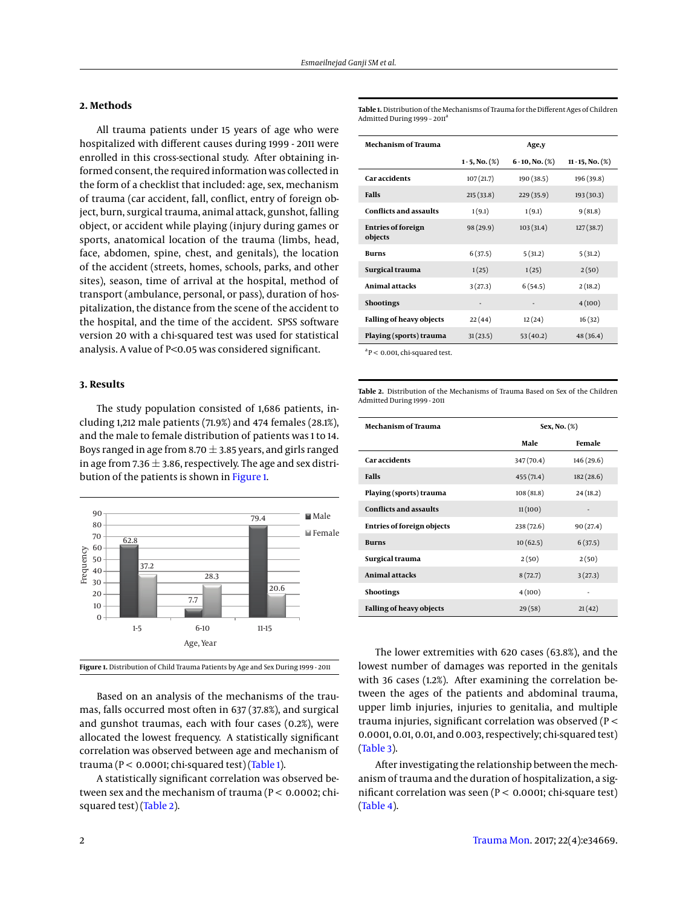# **2. Methods**

All trauma patients under 15 years of age who were hospitalized with different causes during 1999 - 2011 were enrolled in this cross-sectional study. After obtaining informed consent, the required information was collected in the form of a checklist that included: age, sex, mechanism of trauma (car accident, fall, conflict, entry of foreign object, burn, surgical trauma, animal attack, gunshot, falling object, or accident while playing (injury during games or sports, anatomical location of the trauma (limbs, head, face, abdomen, spine, chest, and genitals), the location of the accident (streets, homes, schools, parks, and other sites), season, time of arrival at the hospital, method of transport (ambulance, personal, or pass), duration of hospitalization, the distance from the scene of the accident to the hospital, and the time of the accident. SPSS software version 20 with a chi-squared test was used for statistical analysis. A value of P<0.05 was considered significant.

## **3. Results**

The study population consisted of 1,686 patients, including 1,212 male patients (71.9%) and 474 females (28.1%), and the male to female distribution of patients was 1 to 14. Boys ranged in age from 8.70  $\pm$  3.85 years, and girls ranged in age from 7.36  $\pm$  3.86, respectively. The age and sex distribution of the patients is shown in [Figure 1.](#page-1-0)

<span id="page-1-0"></span>

**Figure 1.** Distribution of Child Trauma Patients by Age and Sex During 1999 - 2011

Based on an analysis of the mechanisms of the traumas, falls occurred most often in 637 (37.8%), and surgical and gunshot traumas, each with four cases (0.2%), were allocated the lowest frequency. A statistically significant correlation was observed between age and mechanism of trauma ( $P < 0.0001$ ; chi-squared test) [\(Table 1\)](#page-1-1).

A statistically significant correlation was observed between sex and the mechanism of trauma (P < 0.0002; chisquared test) [\(Table 2\)](#page-1-2).

<span id="page-1-1"></span>**Table 1.** Distribution of the Mechanisms of Trauma for the Different Ages of Children Admitted During 1999 – 2011<sup>a</sup>

| <b>Mechanism of Trauma</b>           | Age,y                |                       |                        |  |
|--------------------------------------|----------------------|-----------------------|------------------------|--|
|                                      | $1 - 5$ , No. $(\%)$ | $6 - 10$ , No. $(\%)$ | $11 - 15$ , No. $(\%)$ |  |
| <b>Caraccidents</b>                  | 107(21.7)            | 190 (38.5)            | 196 (39.8)             |  |
| Falls                                | 215(33.8)            | 229(35.9)             | 193 (30.3)             |  |
| <b>Conflicts and assaults</b>        | 1(9.1)               | 1(9.1)                | 9(81.8)                |  |
| <b>Entries of foreign</b><br>objects | 98 (29.9)            | 103(31.4)             | 127(38.7)              |  |
| <b>Burns</b>                         | 6(37.5)              | 5(31.2)               | 5(31.2)                |  |
| Surgical trauma                      | 1(25)                | 1(25)                 | 2(50)                  |  |
| Animal attacks                       | 3(27.3)              | 6(54.5)               | 2(18.2)                |  |
| <b>Shootings</b>                     |                      |                       | 4(100)                 |  |
| <b>Falling of heavy objects</b>      | 22(44)               | 12(24)                | 16(32)                 |  |
| Playing (sports) trauma              | 31(23.5)             | 53(40.2)              | 48(36.4)               |  |

a P < 0.001, chi-squared test.

<span id="page-1-2"></span>**Table 2.** Distribution of the Mechanisms of Trauma Based on Sex of the Children Admitted During 1999 - 2011

| <b>Mechanism of Trauma</b>        | Sex, No. (%) |            |  |
|-----------------------------------|--------------|------------|--|
|                                   | Male         | Female     |  |
| <b>Caraccidents</b>               | 347 (70.4)   | 146 (29.6) |  |
| Falls                             | 455(71.4)    | 182(28.6)  |  |
| Playing (sports) trauma           | 108(81.8)    | 24(18.2)   |  |
| <b>Conflicts and assaults</b>     | 11(100)      |            |  |
| <b>Entries of foreign objects</b> | 238 (72.6)   | 90(27.4)   |  |
| <b>Burns</b>                      | 10(62.5)     | 6(37.5)    |  |
| Surgical trauma                   | 2(50)        | 2(50)      |  |
| <b>Animal attacks</b>             | 8(72.7)      | 3(27.3)    |  |
| <b>Shootings</b>                  | 4(100)       |            |  |
| <b>Falling of heavy objects</b>   | 29(58)       | 21(42)     |  |

The lower extremities with 620 cases (63.8%), and the lowest number of damages was reported in the genitals with 36 cases (1.2%). After examining the correlation between the ages of the patients and abdominal trauma, upper limb injuries, injuries to genitalia, and multiple trauma injuries, significant correlation was observed (P < 0.0001, 0.01, 0.01, and 0.003, respectively; chi-squared test) [\(Table 3\)](#page-2-0).

After investigating the relationship between the mechanism of trauma and the duration of hospitalization, a significant correlation was seen (P < 0.0001; chi-square test) [\(Table 4\)](#page-2-1).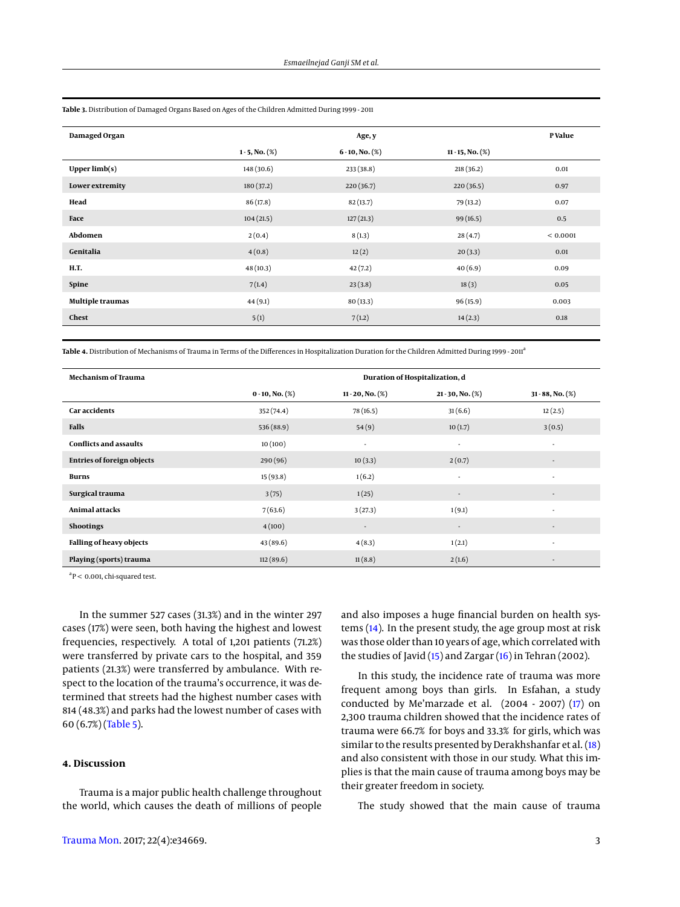|                      | Age, y                |                        | <b>P</b> Value |
|----------------------|-----------------------|------------------------|----------------|
| $1 - 5$ , No. $(\%)$ | $6 - 10$ , No. $(\%)$ | $11 - 15$ , No. $(\%)$ |                |
| 148(30.6)            | 233(38.8)             | 218(36.2)              | 0.01           |
| 180(37.2)            | 220(36.7)             | 220(36.5)              | 0.97           |
| 86 (17.8)            | 82(13.7)              | 79 (13.2)              | 0.07           |
| 104(21.5)            | 127(21.3)             | 99 (16.5)              | 0.5            |
| 2(0.4)               | 8(1.3)                | 28(4.7)                | < 0.0001       |
| 4(0.8)               | 12(2)                 | 20(3.3)                | 0.01           |
| 48(10.3)             | 42(7.2)               | 40(6.9)                | 0.09           |
| 7(1.4)               | 23(3.8)               | 18(3)                  | 0.05           |
| 44(9.1)              | 80(13.3)              | 96(15.9)               | 0.003          |
| 5(1)                 | 7(1.2)                | 14(2.3)                | 0.18           |
|                      |                       |                        |                |

<span id="page-2-0"></span>**Table 3.** Distribution of Damaged Organs Based on Ages of the Children Admitted During 1999 - 2011

<span id="page-2-1"></span>Table 4. Distribution of Mechanisms of Trauma in Terms of the Differences in Hospitalization Duration for the Children Admitted During 1999 - 2011<sup>a</sup>

| Mechanism of Trauma               | Duration of Hospitalization, d |                          |                          |                          |
|-----------------------------------|--------------------------------|--------------------------|--------------------------|--------------------------|
|                                   | $0 - 10$ , No. $(\%)$          | $11 - 20$ , No. $(\%)$   | $21 - 30$ , No. $(\%)$   | $31 - 88$ , No. $(\%)$   |
| <b>Car accidents</b>              | 352 (74.4)                     | 78 (16.5)                | 31(6.6)                  | 12(2.5)                  |
| Falls                             | 536 (88.9)                     | 54(9)                    | 10(1.7)                  | 3(0.5)                   |
| <b>Conflicts and assaults</b>     | 10(100)                        | ٠                        | ٠                        | ٠                        |
| <b>Entries of foreign objects</b> | 290(96)                        | 10(3.3)                  | 2(0.7)                   | $\overline{\phantom{a}}$ |
| <b>Burns</b>                      | 15(93.8)                       | 1(6.2)                   | ٠                        | $\overline{\phantom{a}}$ |
| Surgical trauma                   | 3(75)                          | 1(25)                    | $\overline{\phantom{a}}$ | $\overline{\phantom{a}}$ |
| Animal attacks                    | 7(63.6)                        | 3(27.3)                  | 1(9.1)                   | $\sim$                   |
| <b>Shootings</b>                  | 4(100)                         | $\overline{\phantom{a}}$ | $\overline{\phantom{a}}$ | $\overline{\phantom{a}}$ |
| Falling of heavy objects          | 43 (89.6)                      | 4(8.3)                   | 1(2.1)                   | $\sim$                   |
| Playing (sports) trauma           | 112(89.6)                      | 11(8.8)                  | 2(1.6)                   | $\overline{\phantom{a}}$ |

 $a^2P$  < 0.001, chi-squared test.

In the summer 527 cases (31.3%) and in the winter 297 cases (17%) were seen, both having the highest and lowest frequencies, respectively. A total of 1,201 patients (71.2%) were transferred by private cars to the hospital, and 359 patients (21.3%) were transferred by ambulance. With respect to the location of the trauma's occurrence, it was determined that streets had the highest number cases with 814 (48.3%) and parks had the lowest number of cases with 60 (6.7%) [\(Table 5\)](#page-3-0).

## **4. Discussion**

Trauma is a major public health challenge throughout the world, which causes the death of millions of people

and also imposes a huge financial burden on health systems [\(14\)](#page-4-12). In the present study, the age group most at risk was those older than 10 years of age, which correlated with the studies of Javid [\(15\)](#page-4-13) and Zargar [\(16\)](#page-4-14) in Tehran (2002).

In this study, the incidence rate of trauma was more frequent among boys than girls. In Esfahan, a study conducted by Me'marzade et al. (2004 - 2007) [\(17\)](#page-4-15) on 2,300 trauma children showed that the incidence rates of trauma were 66.7% for boys and 33.3% for girls, which was similar to the results presented by Derakhshanfar et al. [\(18\)](#page-4-16) and also consistent with those in our study. What this implies is that the main cause of trauma among boys may be their greater freedom in society.

The study showed that the main cause of trauma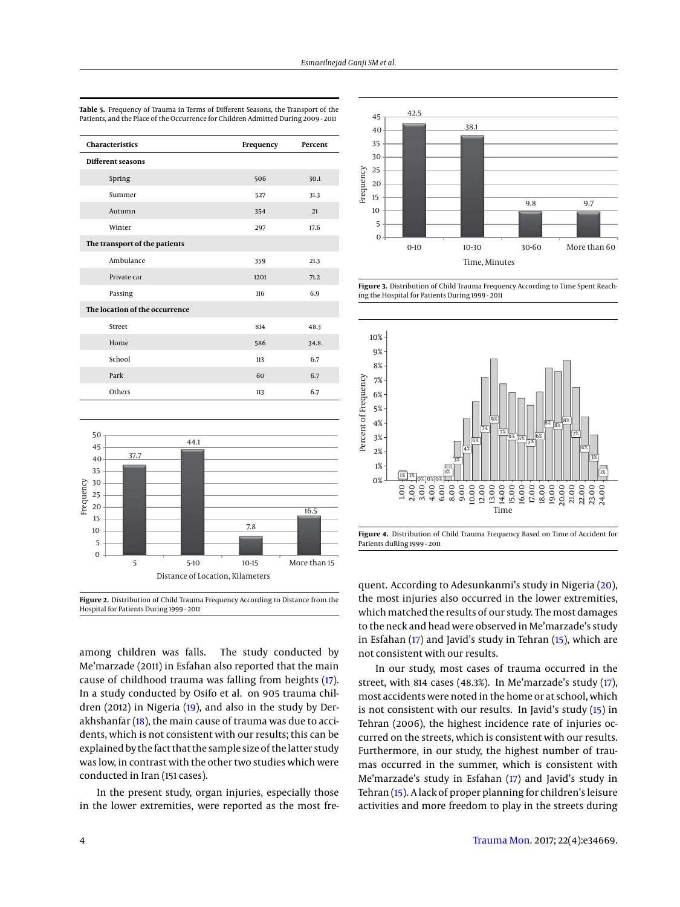| <b>Characteristics</b>         | Frequency | Percent |
|--------------------------------|-----------|---------|
| Different seasons              |           |         |
| Spring                         | 506       | 30.1    |
| Summer                         | 527       | 31.3    |
| Autumn                         | 354       | 21      |
| Winter                         | 297       | 17.6    |
| The transport of the patients  |           |         |
| Ambulance                      | 359       | 21.3    |
| Private car                    | 1201      | 71.2    |
| Passing                        | 116       | 6.9     |
| The location of the occurrence |           |         |
| Street                         | 814       | 48.3    |
| Home                           | 586       | 34.8    |
| School                         | 113       | 6.7     |
| Park                           | 60        | 6.7     |
| Others                         | 113       | 6.7     |

<span id="page-3-0"></span>**Table 5.** Frequency of Trauma in Terms of Different Seasons, the Transport of the Patients, and the Place of the Occurrence for Children Admitted During 2009 - 2011



**Figure 2.** Distribution of Child Trauma Frequency According to Distance from the Hospital for Patients During 1999 - 2011

among children was falls. The study conducted by Me'marzade (2011) in Esfahan also reported that the main cause of childhood trauma was falling from heights [\(17\)](#page-4-15). In a study conducted by Osifo et al. on 905 trauma children (2012) in Nigeria [\(19\)](#page-4-17), and also in the study by Derakhshanfar [\(18\)](#page-4-16), the main cause of trauma was due to accidents, which is not consistent with our results; this can be explained by the fact that the sample size of the latter study was low, in contrast with the other two studies which were conducted in Iran (151 cases).

In the present study, organ injuries, especially those in the lower extremities, were reported as the most fre-



**Figure 3.** Distribution of Child Trauma Frequency According to Time Spent Reaching the Hospital for Patients During 1999 - 2011



**Figure 4.** Distribution of Child Trauma Frequency Based on Time of Accident for Patients duRing 1999 - 2011

quent. According to Adesunkanmi's study in Nigeria [\(20\)](#page-4-18), the most injuries also occurred in the lower extremities, which matched the results of our study. The most damages to the neck and head were observed in Me'marzade's study in Esfahan [\(17\)](#page-4-15) and Javid's study in Tehran [\(15\)](#page-4-13), which are not consistent with our results.

In our study, most cases of trauma occurred in the street, with 814 cases (48.3%). In Me'marzade's study [\(17\)](#page-4-15), most accidents were noted in the home or at school, which is not consistent with our results. In Javid's study [\(15\)](#page-4-13) in Tehran (2006), the highest incidence rate of injuries occurred on the streets, which is consistent with our results. Furthermore, in our study, the highest number of traumas occurred in the summer, which is consistent with Me'marzade's study in Esfahan [\(17\)](#page-4-15) and Javid's study in Tehran [\(15\)](#page-4-13). A lack of proper planning for children's leisure activities and more freedom to play in the streets during